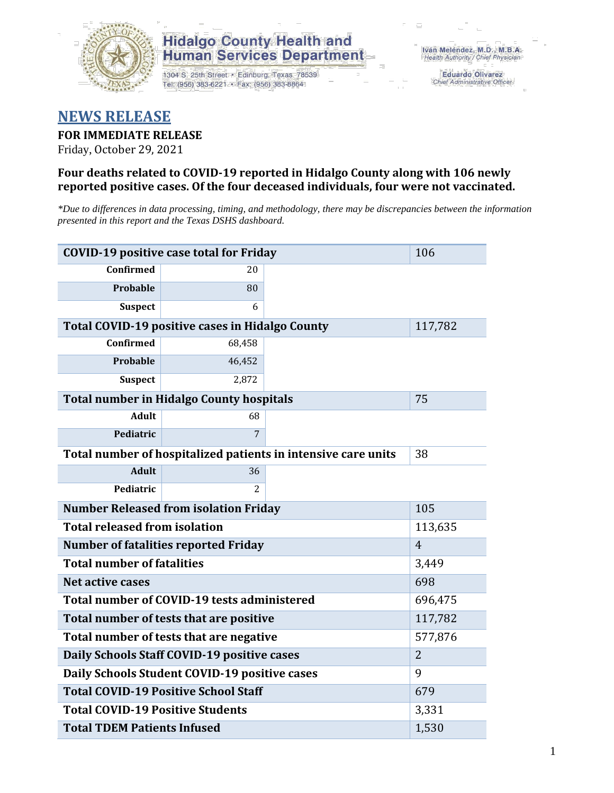

# **Hidalgo County Health and Human Services Department**

1304 S. 25th Street · Edinburg, Texas 78539 Tel: (956) 383-6221 · Fax: (956) 383-8864

**Eduardo Olivarez** Chief Administrative Officer

# **NEWS RELEASE**

## **FOR IMMEDIATE RELEASE**

Friday, October 29, 2021

## **Four deaths related to COVID-19 reported in Hidalgo County along with 106 newly reported positive cases. Of the four deceased individuals, four were not vaccinated.**

*\*Due to differences in data processing, timing, and methodology, there may be discrepancies between the information presented in this report and the Texas DSHS dashboard.*

| <b>COVID-19 positive case total for Friday</b>                | 106                                             |         |         |  |  |
|---------------------------------------------------------------|-------------------------------------------------|---------|---------|--|--|
| <b>Confirmed</b>                                              | 20                                              |         |         |  |  |
| <b>Probable</b>                                               | 80                                              |         |         |  |  |
| <b>Suspect</b>                                                | 6                                               |         |         |  |  |
|                                                               | Total COVID-19 positive cases in Hidalgo County |         | 117,782 |  |  |
| Confirmed                                                     | 68,458                                          |         |         |  |  |
| <b>Probable</b>                                               | 46,452                                          |         |         |  |  |
| <b>Suspect</b>                                                | 2,872                                           |         |         |  |  |
|                                                               | <b>Total number in Hidalgo County hospitals</b> |         | 75      |  |  |
| <b>Adult</b>                                                  | 68                                              |         |         |  |  |
| Pediatric                                                     | 7                                               |         |         |  |  |
| Total number of hospitalized patients in intensive care units | 38                                              |         |         |  |  |
| <b>Adult</b>                                                  | 36                                              |         |         |  |  |
| Pediatric                                                     | $\overline{c}$                                  |         |         |  |  |
| <b>Number Released from isolation Friday</b>                  | 105                                             |         |         |  |  |
| <b>Total released from isolation</b><br>113,635               |                                                 |         |         |  |  |
| <b>Number of fatalities reported Friday</b>                   | $\overline{4}$                                  |         |         |  |  |
| <b>Total number of fatalities</b>                             | 3,449                                           |         |         |  |  |
| Net active cases                                              |                                                 | 698     |         |  |  |
| Total number of COVID-19 tests administered                   |                                                 | 696,475 |         |  |  |
| Total number of tests that are positive                       | 117,782                                         |         |         |  |  |
| Total number of tests that are negative                       | 577,876                                         |         |         |  |  |
| Daily Schools Staff COVID-19 positive cases                   | $\overline{2}$                                  |         |         |  |  |
| Daily Schools Student COVID-19 positive cases                 | 9                                               |         |         |  |  |
| <b>Total COVID-19 Positive School Staff</b>                   | 679                                             |         |         |  |  |
| <b>Total COVID-19 Positive Students</b>                       | 3,331                                           |         |         |  |  |
| <b>Total TDEM Patients Infused</b>                            | 1,530                                           |         |         |  |  |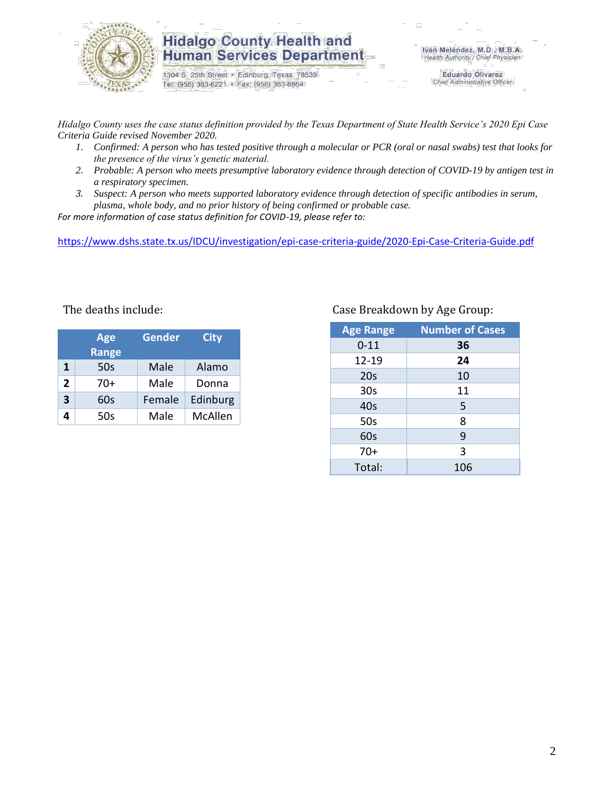

## **Hidalgo County Health and Human Services Department**

1304 S. 25th Street · Edinburg, Texas 78539 Tel: (956) 383-6221 · Fax: (956) 383-8864

Iván Meléndez, M.D., M.B.A. Health Authority / Chief Physician

> **Eduardo Olivarez** Chief Administrative Officer

*Hidalgo County uses the case status definition provided by the Texas Department of State Health Service's 2020 Epi Case Criteria Guide revised November 2020.*

- *1. Confirmed: A person who has tested positive through a molecular or PCR (oral or nasal swabs) test that looks for the presence of the virus's genetic material.*
- *2. Probable: A person who meets presumptive laboratory evidence through detection of COVID-19 by antigen test in a respiratory specimen.*
- *3. Suspect: A person who meets supported laboratory evidence through detection of specific antibodies in serum, plasma, whole body, and no prior history of being confirmed or probable case.*

*For more information of case status definition for COVID-19, please refer to:*

<https://www.dshs.state.tx.us/IDCU/investigation/epi-case-criteria-guide/2020-Epi-Case-Criteria-Guide.pdf>

| <b>Age</b><br><b>Range</b> |       | <b>Gender</b> | <b>City</b> |  |
|----------------------------|-------|---------------|-------------|--|
| 1                          | 50s   | Male          | Alamo       |  |
| 2                          | $70+$ | Male          | Donna       |  |
| 3                          | 60s   | Female        | Edinburg    |  |
| 4                          | 50s   | Male          | McAllen     |  |

## The deaths include: The deaths include: Case Breakdown by Age Group:

| <b>Age Range</b> | <b>Number of Cases</b> |
|------------------|------------------------|
| $0 - 11$         | 36                     |
| $12 - 19$        | 24                     |
| 20s              | 10                     |
| 30 <sub>s</sub>  | 11                     |
| 40s              | 5                      |
| 50s              | 8                      |
| 60s              | 9                      |
| $70+$            | 3                      |
| Total:           | 106                    |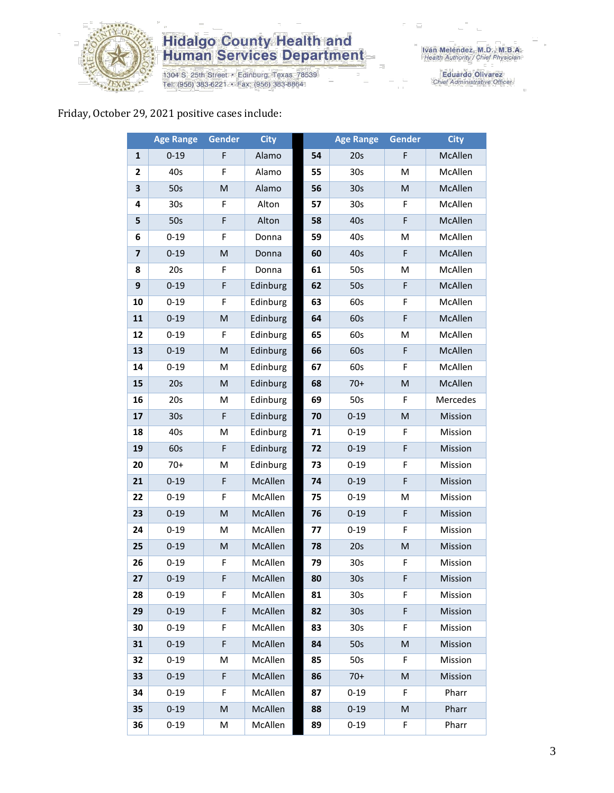

# **Hidalgo County Health and<br>Human Services Department**

1304 S. 25th Street • Edinburg, Texas 78539<br>Tel: (956) 383-6221 • Fax: (956) 383-8864

Eduardo Olivarez<br>Chief Administrative Officer

## Friday, October 29, 2021 positive cases include:

|                         | <b>Age Range</b> | <b>Gender</b> | <b>City</b> |    | <b>Age Range</b> | <b>Gender</b>                                                                                              | <b>City</b> |
|-------------------------|------------------|---------------|-------------|----|------------------|------------------------------------------------------------------------------------------------------------|-------------|
| $\mathbf{1}$            | $0 - 19$         | F             | Alamo       | 54 | 20s              | F                                                                                                          | McAllen     |
| $\mathbf{2}$            | 40s              | F             | Alamo       | 55 | 30 <sub>s</sub>  | M                                                                                                          | McAllen     |
| 3                       | 50s              | M             | Alamo       | 56 | 30 <sub>s</sub>  | M                                                                                                          | McAllen     |
| 4                       | 30 <sub>s</sub>  | F             | Alton       | 57 | 30 <sub>s</sub>  | F                                                                                                          | McAllen     |
| 5                       | 50s              | F             | Alton       | 58 | 40s              | $\mathsf F$                                                                                                | McAllen     |
| 6                       | $0 - 19$         | F             | Donna       | 59 | 40s              | M                                                                                                          | McAllen     |
| $\overline{\mathbf{z}}$ | $0 - 19$         | M             | Donna       | 60 | 40s              | $\mathsf F$                                                                                                | McAllen     |
| 8                       | 20s              | F             | Donna       | 61 | 50s              | M                                                                                                          | McAllen     |
| 9                       | $0 - 19$         | F             | Edinburg    | 62 | 50s              | F                                                                                                          | McAllen     |
| 10                      | $0 - 19$         | F             | Edinburg    | 63 | 60s              | F                                                                                                          | McAllen     |
| 11                      | $0 - 19$         | M             | Edinburg    | 64 | 60s              | $\mathsf F$                                                                                                | McAllen     |
| 12                      | $0 - 19$         | F             | Edinburg    | 65 | 60s              | M                                                                                                          | McAllen     |
| 13                      | $0 - 19$         | M             | Edinburg    | 66 | 60s              | F                                                                                                          | McAllen     |
| 14                      | $0 - 19$         | M             | Edinburg    | 67 | 60s              | F                                                                                                          | McAllen     |
| 15                      | 20s              | M             | Edinburg    | 68 | $70+$            | $\mathsf{M}% _{T}=\mathsf{M}_{T}\!\left( a,b\right) ,\ \mathsf{M}_{T}=\mathsf{M}_{T}\!\left( a,b\right) ,$ | McAllen     |
| 16                      | 20s              | M             | Edinburg    | 69 | 50s              | F                                                                                                          | Mercedes    |
| 17                      | 30 <sub>s</sub>  | F             | Edinburg    | 70 | $0 - 19$         | M                                                                                                          | Mission     |
| 18                      | 40s              | M             | Edinburg    | 71 | $0 - 19$         | F                                                                                                          | Mission     |
| 19                      | 60s              | F             | Edinburg    | 72 | $0 - 19$         | F                                                                                                          | Mission     |
| 20                      | $70+$            | M             | Edinburg    | 73 | $0 - 19$         | F                                                                                                          | Mission     |
| 21                      | $0 - 19$         | F             | McAllen     | 74 | $0 - 19$         | $\mathsf F$                                                                                                | Mission     |
| 22                      | $0 - 19$         | F             | McAllen     | 75 | $0 - 19$         | M                                                                                                          | Mission     |
| 23                      | $0 - 19$         | M             | McAllen     | 76 | $0 - 19$         | $\mathsf F$                                                                                                | Mission     |
| 24                      | $0 - 19$         | M             | McAllen     | 77 | $0 - 19$         | F                                                                                                          | Mission     |
| 25                      | $0 - 19$         | ${\sf M}$     | McAllen     | 78 | 20s              | M                                                                                                          | Mission     |
| 26                      | $0 - 19$         | F             | McAllen     | 79 | 30s              | F                                                                                                          | Mission     |
| 27                      | $0 - 19$         | F             | McAllen     | 80 | 30s              | F.                                                                                                         | Mission     |
| 28                      | $0 - 19$         | F             | McAllen     | 81 | 30s              | F.                                                                                                         | Mission     |
| 29                      | $0 - 19$         | F             | McAllen     | 82 | 30 <sub>s</sub>  | $\mathsf F$                                                                                                | Mission     |
| 30                      | $0 - 19$         | F             | McAllen     | 83 | 30 <sub>s</sub>  | F                                                                                                          | Mission     |
| 31                      | $0 - 19$         | F             | McAllen     | 84 | 50s              | $\mathsf{M}% _{T}=\mathsf{M}_{T}\!\left( a,b\right) ,\ \mathsf{M}_{T}=\mathsf{M}_{T}\!\left( a,b\right) ,$ | Mission     |
| 32                      | $0 - 19$         | Μ             | McAllen     | 85 | 50s              | F                                                                                                          | Mission     |
| 33                      | $0 - 19$         | F             | McAllen     | 86 | $70+$            | $\mathsf{M}% _{T}=\mathsf{M}_{T}\!\left( a,b\right) ,\ \mathsf{M}_{T}=\mathsf{M}_{T}\!\left( a,b\right) ,$ | Mission     |
| 34                      | $0 - 19$         | F             | McAllen     | 87 | $0 - 19$         | F                                                                                                          | Pharr       |
| 35                      | $0 - 19$         | M             | McAllen     | 88 | $0 - 19$         | M                                                                                                          | Pharr       |
| 36                      | $0 - 19$         | M             | McAllen     | 89 | $0 - 19$         | F                                                                                                          | Pharr       |